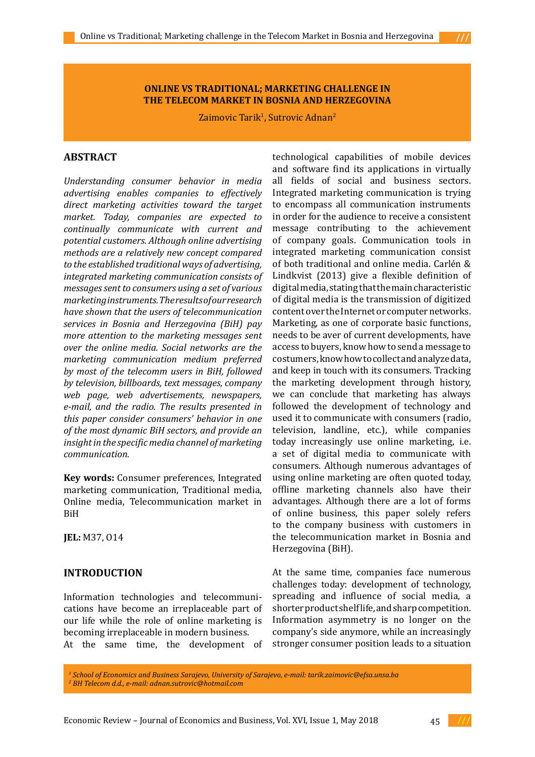#### **ONLINE VS TRADITIONAL; MARKETING CHALLENGE IN THE TELECOM MARKET IN BOSNIA AND HERZEGOVINA**

Zaimovic Tarik<sup>1</sup>, Sutrovic Adnan<sup>2</sup>

## **ABSTRACT**

*Understanding consumer behavior in media advertising enables companies to effectively direct marketing activities toward the target market. Today, companies are expected to continually communicate with current and potential customers. Although online advertising methods are a relatively new concept compared to the established traditional ways of advertising, integrated marketing communication consists of messages sent to consumers using a set of various marketing instruments. The results of our research have shown that the users of telecommunication services in Bosnia and Herzegovina (BiH) pay more attention to the marketing messages sent over the online media. Social networks are the marketing communication medium preferred by most of the telecomm users in BiH, followed by television, billboards, text messages, company web page, web advertisements, newspapers, e-mail, and the radio. The results presented in this paper consider consumers' behavior in one of the most dynamic BiH sectors, and provide an insight in the specific media channel of marketing communication.*

**Key words:** Consumer preferences, Integrated marketing communication, Traditional media, Online media, Telecommunication market in BiH

**JEL:** M37, O14

## **INTRODUCTION**

Information technologies and telecommunications have become an irreplaceable part of our life while the role of online marketing is becoming irreplaceable in modern business. At the same time, the development of technological capabilities of mobile devices and software find its applications in virtually all fields of social and business sectors. Integrated marketing communication is trying to encompass all communication instruments in order for the audience to receive a consistent message contributing to the achievement of company goals. Communication tools in integrated marketing communication consist of both traditional and online media. Carlén & Lindkvist (2013) give a flexible definition of digital media, stating that the main characteristic of digital media is the transmission of digitized content over the Internet or computer networks. Marketing, as one of corporate basic functions, needs to be aver of current developments, have access to buyers, know how to send a message to costumers, know how to collect and analyze data, and keep in touch with its consumers. Tracking the marketing development through history, we can conclude that marketing has always followed the development of technology and used it to communicate with consumers (radio, television, landline, etc.), while companies today increasingly use online marketing, i.e. a set of digital media to communicate with consumers. Although numerous advantages of using online marketing are often quoted today, offline marketing channels also have their advantages. Although there are a lot of forms of online business, this paper solely refers to the company business with customers in the telecommunication market in Bosnia and Herzegovina (BiH).

At the same time, companies face numerous challenges today: development of technology, spreading and influence of social media, a shorter product shelf life, and sharp competition. Information asymmetry is no longer on the company's side anymore, while an increasingly stronger consumer position leads to a situation





*<sup>1</sup> School of Economics and Business Sarajevo, University of Sarajevo, e-mail: [tarik.zaimovic@efsa.unsa.ba](mailto:tarik.zaimovic@efsa.unsa.ba)  2 BH Telecom d.d., e-mail: [adnan.sutrovic@hotmail.com](mailto:adnan.sutrovic@hotmail.com)*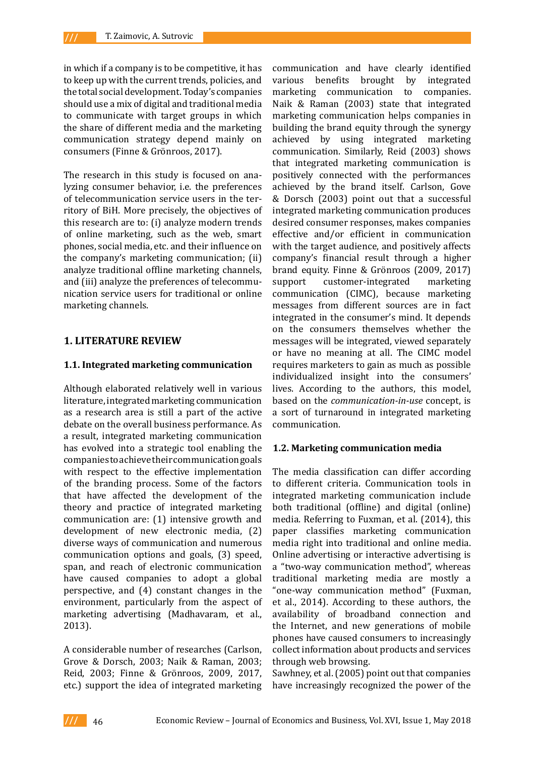in which if a company is to be competitive, it has to keep up with the current trends, policies, and the total social development. Today's companies should use a mix of digital and traditional media to communicate with target groups in which the share of different media and the marketing communication strategy depend mainly on consumers (Finne & Grönroos, 2017).

The research in this study is focused on analyzing consumer behavior, i.e. the preferences of telecommunication service users in the territory of BiH. More precisely, the objectives of this research are to: (i) analyze modern trends of online marketing, such as the web, smart phones, social media, etc. and their influence on the company's marketing communication; (ii) analyze traditional offline marketing channels, and (iii) analyze the preferences of telecommunication service users for traditional or online marketing channels.

### **1. LITERATURE REVIEW**

#### **1.1. Integrated marketing communication**

Although elaborated relatively well in various literature, integrated marketing communication as a research area is still a part of the active debate on the overall business performance. As a result, integrated marketing communication has evolved into a strategic tool enabling the companies to achieve their communication goals with respect to the effective implementation of the branding process. Some of the factors that have affected the development of the theory and practice of integrated marketing communication are: (1) intensive growth and development of new electronic media, (2) diverse ways of communication and numerous communication options and goals, (3) speed, span, and reach of electronic communication have caused companies to adopt a global perspective, and (4) constant changes in the environment, particularly from the aspect of marketing advertising (Madhavaram, et al., 2013).

A considerable number of researches (Carlson, Grove & Dorsch, 2003; Naik & Raman, 2003; Reid, 2003; Finne & Grönroos, 2009, 2017, etc.) support the idea of integrated marketing

communication and have clearly identified various benefits brought by integrated<br>marketing communication to companies. marketing communication to Naik & Raman (2003) state that integrated marketing communication helps companies in building the brand equity through the synergy achieved by using integrated marketing communication. Similarly, Reid (2003) shows that integrated marketing communication is positively connected with the performances achieved by the brand itself. Carlson, Gove & Dorsch (2003) point out that a successful integrated marketing communication produces desired consumer responses, makes companies effective and/or efficient in communication with the target audience, and positively affects company's financial result through a higher brand equity. Finne & Grönroos (2009, 2017) support customer-integrated marketing communication (CIMC), because marketing messages from different sources are in fact integrated in the consumer's mind. It depends on the consumers themselves whether the messages will be integrated, viewed separately or have no meaning at all. The CIMC model requires marketers to gain as much as possible individualized insight into the consumers' lives. According to the authors, this model, based on the *communication-in-use* concept, is a sort of turnaround in integrated marketing communication.

#### **1.2. Marketing communication media**

The media classification can differ according to different criteria. Communication tools in integrated marketing communication include both traditional (offline) and digital (online) media. Referring to Fuxman, et al. (2014), this paper classifies marketing communication media right into traditional and online media. Online advertising or interactive advertising is a "two-way communication method", whereas traditional marketing media are mostly a "one-way communication method" (Fuxman, et al., 2014). According to these authors, the availability of broadband connection and the Internet, and new generations of mobile phones have caused consumers to increasingly collect information about products and services through web browsing.

Sawhney, et al. (2005) point out that companies have increasingly recognized the power of the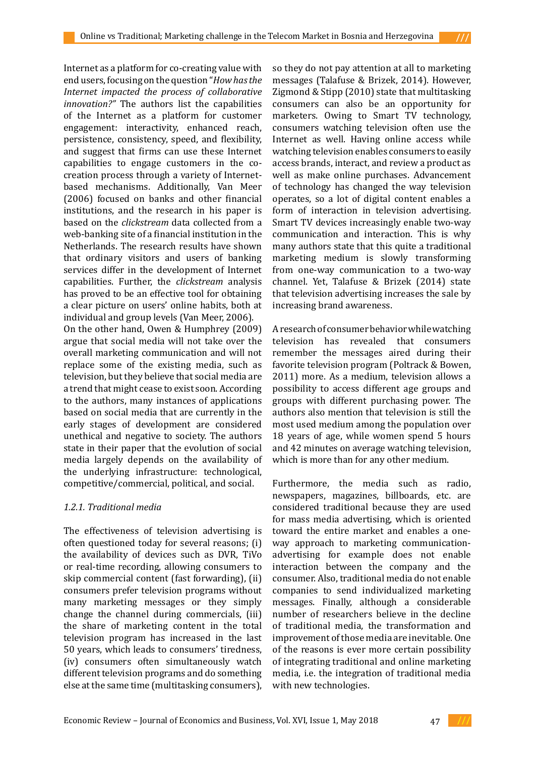Internet as a platform for co-creating value with end users, focusing on the question "*How has the Internet impacted the process of collaborative innovation?"* The authors list the capabilities of the Internet as a platform for customer engagement: interactivity, enhanced reach, persistence, consistency, speed, and flexibility, and suggest that firms can use these Internet capabilities to engage customers in the cocreation process through a variety of Internetbased mechanisms. Additionally, Van Meer (2006) focused on banks and other financial institutions, and the research in his paper is based on the *clickstream* data collected from a web-banking site of a financial institution in the Netherlands. The research results have shown that ordinary visitors and users of banking services differ in the development of Internet capabilities. Further, the *clickstream* analysis has proved to be an effective tool for obtaining a clear picture on users' online habits, both at individual and group levels (Van Meer, 2006).

On the other hand, Owen & Humphrey (2009) argue that social media will not take over the overall marketing communication and will not replace some of the existing media, such as television, but they believe that social media are a trend that might cease to exist soon. According to the authors, many instances of applications based on social media that are currently in the early stages of development are considered unethical and negative to society. The authors state in their paper that the evolution of social media largely depends on the availability of the underlying infrastructure: technological, competitive/commercial, political, and social.

## *1.2.1. Traditional media*

The effectiveness of television advertising is often questioned today for several reasons; (i) the availability of devices such as DVR, TiVo or real-time recording, allowing consumers to skip commercial content (fast forwarding), (ii) consumers prefer television programs without many marketing messages or they simply change the channel during commercials, (iii) the share of marketing content in the total television program has increased in the last 50 years, which leads to consumers' tiredness, (iv) consumers often simultaneously watch different television programs and do something else at the same time (multitasking consumers), so they do not pay attention at all to marketing messages (Talafuse & Brizek, 2014). However, Zigmond & Stipp (2010) state that multitasking consumers can also be an opportunity for marketers. Owing to Smart TV technology, consumers watching television often use the Internet as well. Having online access while watching television enables consumers to easily access brands, interact, and review a product as well as make online purchases. Advancement of technology has changed the way television operates, so a lot of digital content enables a form of interaction in television advertising. Smart TV devices increasingly enable two-way communication and interaction. This is why many authors state that this quite a traditional marketing medium is slowly transforming from one-way communication to a two-way channel. Yet, Talafuse & Brizek (2014) state that television advertising increases the sale by increasing brand awareness.

A research of consumer behavior while watching television has revealed that consumers remember the messages aired during their favorite television program (Poltrack & Bowen, 2011) more. As a medium, television allows a possibility to access different age groups and groups with different purchasing power. The authors also mention that television is still the most used medium among the population over 18 years of age, while women spend 5 hours and 42 minutes on average watching television, which is more than for any other medium.

Furthermore, the media such as radio, newspapers, magazines, billboards, etc. are considered traditional because they are used for mass media advertising, which is oriented toward the entire market and enables a oneway approach to marketing communicationadvertising for example does not enable interaction between the company and the consumer. Also, traditional media do not enable companies to send individualized marketing messages. Finally, although a considerable number of researchers believe in the decline of traditional media, the transformation and improvement of those media are inevitable. One of the reasons is ever more certain possibility of integrating traditional and online marketing media, i.e. the integration of traditional media with new technologies.



47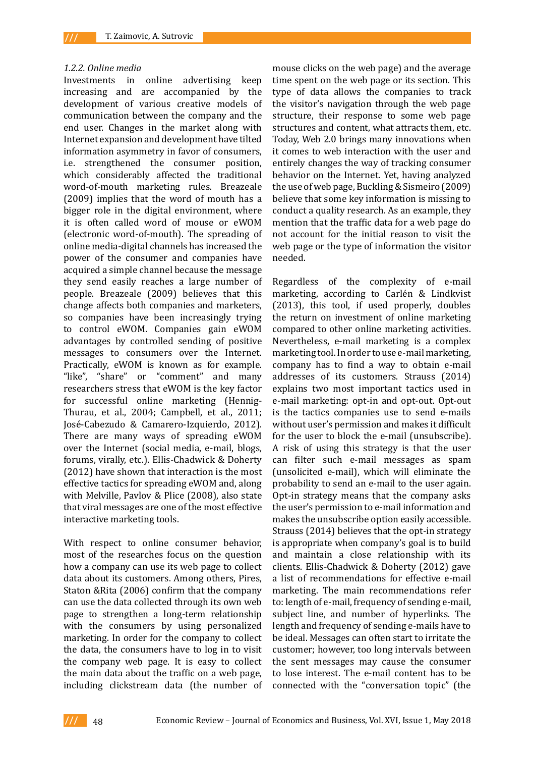#### *1.2.2. Online media*

Investments in online advertising keep increasing and are accompanied by the development of various creative models of communication between the company and the end user. Changes in the market along with Internet expansion and development have tilted information asymmetry in favor of consumers, i.e. strengthened the consumer position, which considerably affected the traditional word-of-mouth marketing rules. Breazeale (2009) implies that the word of mouth has a bigger role in the digital environment, where it is often called word of mouse or eWOM (electronic word-of-mouth). The spreading of online media-digital channels has increased the power of the consumer and companies have acquired a simple channel because the message they send easily reaches a large number of people. Breazeale (2009) believes that this change affects both companies and marketers, so companies have been increasingly trying to control eWOM. Companies gain eWOM advantages by controlled sending of positive messages to consumers over the Internet. Practically, eWOM is known as for example. "like", "share" or "comment" and many researchers stress that eWOM is the key factor for successful online marketing (Hennig-Thurau, et al., 2004; Campbell, et al., 2011; José-Cabezudo & Camarero-Izquierdo, 2012). There are many ways of spreading eWOM over the Internet (social media, e-mail, blogs, forums, virally, etc.). Ellis-Chadwick & Doherty (2012) have shown that interaction is the most effective tactics for spreading eWOM and, along with Melville, Pavlov & Plice (2008), also state that viral messages are one of the most effective interactive marketing tools.

With respect to online consumer behavior, most of the researches focus on the question how a company can use its web page to collect data about its customers. Among others, Pires, Staton &Rita (2006) confirm that the company can use the data collected through its own web page to strengthen a long-term relationship with the consumers by using personalized marketing. In order for the company to collect the data, the consumers have to log in to visit the company web page. It is easy to collect the main data about the traffic on a web page, including clickstream data (the number of mouse clicks on the web page) and the average time spent on the web page or its section. This type of data allows the companies to track the visitor's navigation through the web page structure, their response to some web page structures and content, what attracts them, etc. Today, Web 2.0 brings many innovations when it comes to web interaction with the user and entirely changes the way of tracking consumer behavior on the Internet. Yet, having analyzed the use of web page, Buckling & Sismeiro (2009) believe that some key information is missing to conduct a quality research. As an example, they mention that the traffic data for a web page do not account for the initial reason to visit the web page or the type of information the visitor needed.

Regardless of the complexity of e-mail marketing, according to Carlén & Lindkvist (2013), this tool, if used properly, doubles the return on investment of online marketing compared to other online marketing activities. Nevertheless, e-mail marketing is a complex marketing tool. In order to use e-mail marketing, company has to find a way to obtain e-mail addresses of its customers. Strauss (2014) explains two most important tactics used in e-mail marketing: opt-in and opt-out. Opt-out is the tactics companies use to send e-mails without user's permission and makes it difficult for the user to block the e-mail (unsubscribe). A risk of using this strategy is that the user can filter such e-mail messages as spam (unsolicited e-mail), which will eliminate the probability to send an e-mail to the user again. Opt-in strategy means that the company asks the user's permission to e-mail information and makes the unsubscribe option easily accessible. Strauss (2014) believes that the opt-in strategy is appropriate when company's goal is to build and maintain a close relationship with its clients. Ellis-Chadwick & Doherty (2012) gave a list of recommendations for effective e-mail marketing. The main recommendations refer to: length of e-mail, frequency of sending e-mail, subject line, and number of hyperlinks. The length and frequency of sending e-mails have to be ideal. Messages can often start to irritate the customer; however, too long intervals between the sent messages may cause the consumer to lose interest. The e-mail content has to be connected with the "conversation topic" (the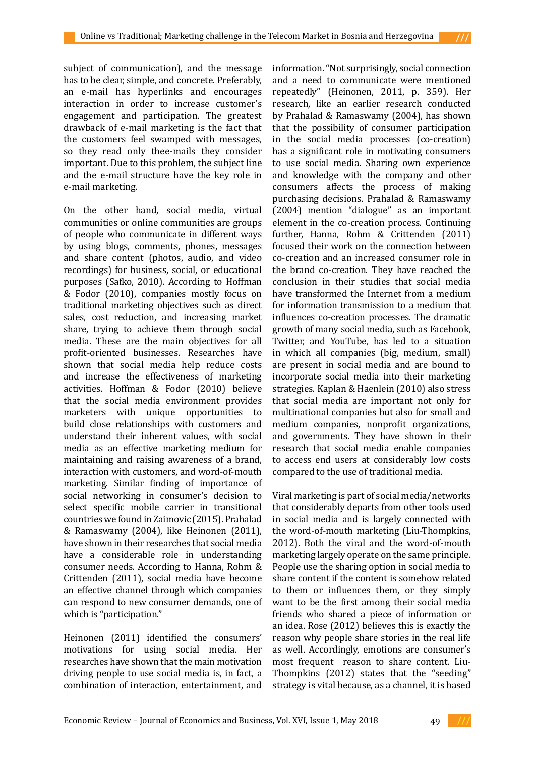subject of communication), and the message has to be clear, simple, and concrete. Preferably, an e-mail has hyperlinks and encourages interaction in order to increase customer's engagement and participation. The greatest drawback of e-mail marketing is the fact that the customers feel swamped with messages, so they read only thee-mails they consider important. Due to this problem, the subject line and the e-mail structure have the key role in e-mail marketing.

On the other hand, social media, virtual communities or online communities are groups of people who communicate in different ways by using blogs, comments, phones, messages and share content (photos, audio, and video recordings) for business, social, or educational purposes (Safko, 2010). According to Hoffman & Fodor (2010), companies mostly focus on traditional marketing objectives such as direct sales, cost reduction, and increasing market share, trying to achieve them through social media. These are the main objectives for all profit-oriented businesses. Researches have shown that social media help reduce costs and increase the effectiveness of marketing activities. Hoffman & Fodor (2010) believe that the social media environment provides marketers with unique opportunities to build close relationships with customers and understand their inherent values, with social media as an effective marketing medium for maintaining and raising awareness of a brand, interaction with customers, and word-of-mouth marketing. Similar finding of importance of social networking in consumer's decision to select specific mobile carrier in transitional countries we found in Zaimovic (2015). Prahalad & Ramaswamy (2004), like Heinonen (2011), have shown in their researches that social media have a considerable role in understanding consumer needs. According to Hanna, Rohm & Crittenden (2011), social media have become an effective channel through which companies can respond to new consumer demands, one of which is "participation."

Heinonen (2011) identified the consumers' motivations for using social media. Her researches have shown that the main motivation driving people to use social media is, in fact, a combination of interaction, entertainment, and information. "Not surprisingly, social connection and a need to communicate were mentioned repeatedly" (Heinonen, 2011, p. 359). Her research, like an earlier research conducted by Prahalad & Ramaswamy (2004), has shown that the possibility of consumer participation in the social media processes (co-creation) has a significant role in motivating consumers to use social media. Sharing own experience and knowledge with the company and other consumers affects the process of making purchasing decisions. Prahalad & Ramaswamy (2004) mention "dialogue" as an important element in the co-creation process. Continuing further, Hanna, Rohm & Crittenden (2011) focused their work on the connection between co-creation and an increased consumer role in the brand co-creation. They have reached the conclusion in their studies that social media have transformed the Internet from a medium for information transmission to a medium that influences co-creation processes. The dramatic growth of many social media, such as Facebook, Twitter, and YouTube, has led to a situation in which all companies (big, medium, small) are present in social media and are bound to incorporate social media into their marketing strategies. Kaplan & Haenlein (2010) also stress that social media are important not only for multinational companies but also for small and medium companies, nonprofit organizations, and governments. They have shown in their research that social media enable companies to access end users at considerably low costs compared to the use of traditional media.

Viral marketing is part of social media/networks that considerably departs from other tools used in social media and is largely connected with the word-of-mouth marketing (Liu-Thompkins, 2012). Both the viral and the word-of-mouth marketing largely operate on the same principle. People use the sharing option in social media to share content if the content is somehow related to them or influences them, or they simply want to be the first among their social media friends who shared a piece of information or an idea. Rose (2012) believes this is exactly the reason why people share stories in the real life as well. Accordingly, emotions are consumer's most frequent reason to share content. Liu-Thompkins (2012) states that the "seeding" strategy is vital because, as a channel, it is based

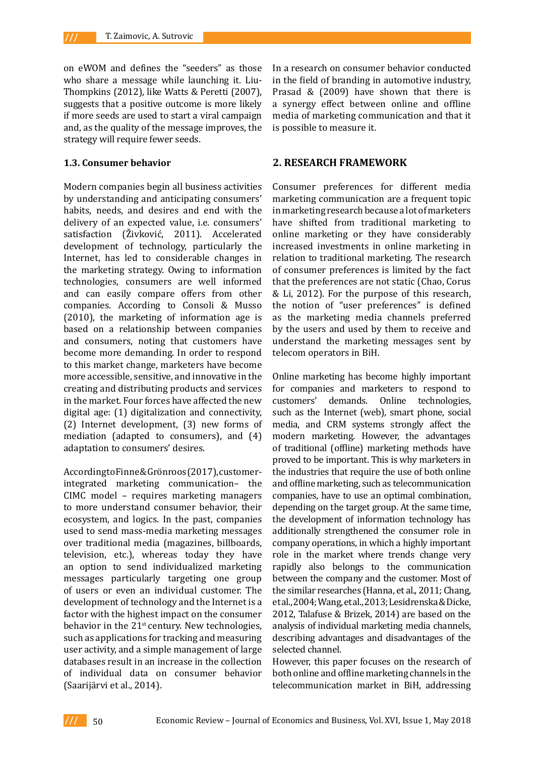on eWOM and defines the "seeders" as those who share a message while launching it. Liu-Thompkins (2012), like Watts & Peretti (2007), suggests that a positive outcome is more likely if more seeds are used to start a viral campaign and, as the quality of the message improves, the strategy will require fewer seeds.

#### **1.3. Consumer behavior**

Modern companies begin all business activities by understanding and anticipating consumers' habits, needs, and desires and end with the delivery of an expected value, i.e. consumers' satisfaction (Živković, 2011). Accelerated development of technology, particularly the Internet, has led to considerable changes in the marketing strategy. Owing to information technologies, consumers are well informed and can easily compare offers from other companies. According to Consoli & Musso (2010), the marketing of information age is based on a relationship between companies and consumers, noting that customers have become more demanding. In order to respond to this market change, marketers have become more accessible, sensitive, and innovative in the creating and distributing products and services in the market. Four forces have affected the new digital age: (1) digitalization and connectivity, (2) Internet development, (3) new forms of mediation (adapted to consumers), and (4) adaptation to consumers' desires.

According to Finne & Grönroos (2017), customerintegrated marketing communication– the CIMC model – requires marketing managers to more understand consumer behavior, their ecosystem, and logics. In the past, companies used to send mass-media marketing messages over traditional media (magazines, billboards, television, etc.), whereas today they have an option to send individualized marketing messages particularly targeting one group of users or even an individual customer. The development of technology and the Internet is a factor with the highest impact on the consumer behavior in the  $21<sup>st</sup>$  century. New technologies, such as applications for tracking and measuring user activity, and a simple management of large databases result in an increase in the collection of individual data on consumer behavior (Saarijärvi et al., 2014).

In a research on consumer behavior conducted in the field of branding in automotive industry, Prasad & (2009) have shown that there is a synergy effect between online and offline media of marketing communication and that it is possible to measure it.

### **2. RESEARCH FRAMEWORK**

Consumer preferences for different media marketing communication are a frequent topic in marketing research because a lot of marketers have shifted from traditional marketing to online marketing or they have considerably increased investments in online marketing in relation to traditional marketing. The research of consumer preferences is limited by the fact that the preferences are not static (Chao, Corus & Li, 2012). For the purpose of this research, the notion of "user preferences" is defined as the marketing media channels preferred by the users and used by them to receive and understand the marketing messages sent by telecom operators in BiH.

Online marketing has become highly important for companies and marketers to respond to customers' demands. Online technologies, such as the Internet (web), smart phone, social media, and CRM systems strongly affect the modern marketing. However, the advantages of traditional (offline) marketing methods have proved to be important. This is why marketers in the industries that require the use of both online and offline marketing, such as telecommunication companies, have to use an optimal combination, depending on the target group. At the same time, the development of information technology has additionally strengthened the consumer role in company operations, in which a highly important role in the market where trends change very rapidly also belongs to the communication between the company and the customer. Most of the similar researches (Hanna, et al., 2011; Chang, et al., 2004; Wang, et al., 2013; Lesidrenska & Dicke, 2012, Talafuse & Brizek, 2014) are based on the analysis of individual marketing media channels, describing advantages and disadvantages of the selected channel.

However, this paper focuses on the research of both online and offline marketing channels in the telecommunication market in BiH, addressing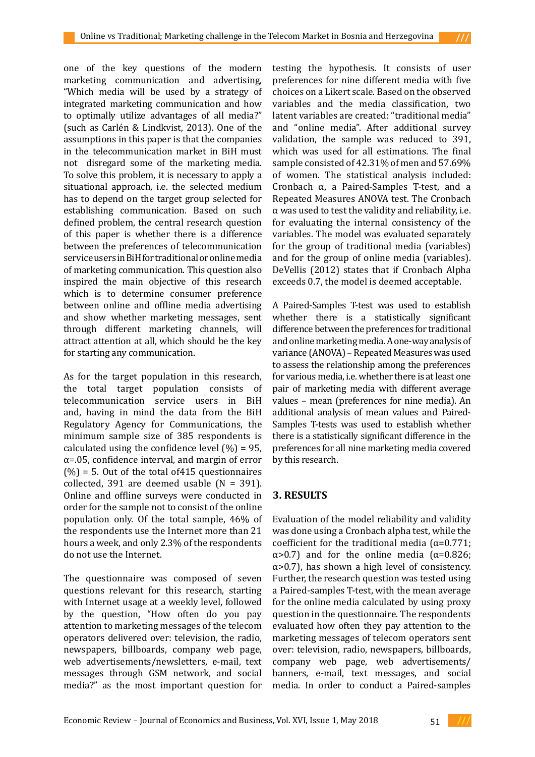one of the key questions of the modern marketing communication and advertising, "Which media will be used by a strategy of integrated marketing communication and how to optimally utilize advantages of all media?" (such as Carlén & Lindkvist, 2013). One of the assumptions in this paper is that the companies in the telecommunication market in BiH must not disregard some of the marketing media. To solve this problem, it is necessary to apply a situational approach, i.e. the selected medium has to depend on the target group selected for establishing communication. Based on such defined problem, the central research question of this paper is whether there is a difference between the preferences of telecommunication service users in BiH for traditional or online media of marketing communication. This question also inspired the main objective of this research which is to determine consumer preference between online and offline media advertising and show whether marketing messages, sent through different marketing channels, will attract attention at all, which should be the key for starting any communication.

As for the target population in this research, the total target population consists of telecommunication service users in BiH and, having in mind the data from the BiH Regulatory Agency for Communications, the minimum sample size of 385 respondents is calculated using the confidence level  $(\% ) = 95$ ,  $\alpha$ =.05, confidence interval, and margin of error  $(\%)$  = 5. Out of the total of 415 questionnaires collected, 391 are deemed usable  $(N = 391)$ . Online and offline surveys were conducted in order for the sample not to consist of the online population only. Of the total sample, 46% of the respondents use the Internet more than 21 hours a week, and only 2.3% of the respondents do not use the Internet.

The questionnaire was composed of seven questions relevant for this research, starting with Internet usage at a weekly level, followed by the question, "How often do you pay attention to marketing messages of the telecom operators delivered over: television, the radio, newspapers, billboards, company web page, web advertisements/newsletters, e-mail, text messages through GSM network, and social media?" as the most important question for

testing the hypothesis. It consists of user preferences for nine different media with five choices on a Likert scale. Based on the observed variables and the media classification, two latent variables are created: "traditional media" and "online media". After additional survey validation, the sample was reduced to 391, which was used for all estimations. The final sample consisted of 42.31% of men and 57.69% of women. The statistical analysis included: Cronbach α, a Paired-Samples T-test, and a Repeated Measures ANOVA test. The Cronbach α was used to test the validity and reliability, i.e. for evaluating the internal consistency of the variables. The model was evaluated separately for the group of traditional media (variables) and for the group of online media (variables). DeVellis (2012) states that if Cronbach Alpha exceeds 0.7, the model is deemed acceptable.

A Paired-Samples T-test was used to establish whether there is a statistically significant difference between the preferences for traditional and online marketing media. A one-way analysis of variance (ANOVA) – Repeated Measures was used to assess the relationship among the preferences for various media, i.e. whether there is at least one pair of marketing media with different average values – mean (preferences for nine media). An additional analysis of mean values and Paired-Samples T-tests was used to establish whether there is a statistically significant difference in the preferences for all nine marketing media covered by this research.

## **3. RESULTS**

Evaluation of the model reliability and validity was done using a Cronbach alpha test, while the coefficient for the traditional media ( $\alpha$ =0.771; α>0.7) and for the online media (α=0.826;  $\alpha$  > 0.7), has shown a high level of consistency. Further, the research question was tested using a Paired-samples T-test, with the mean average for the online media calculated by using proxy question in the questionnaire. The respondents evaluated how often they pay attention to the marketing messages of telecom operators sent over: television, radio, newspapers, billboards, company web page, web advertisements/ banners, e-mail, text messages, and social media. In order to conduct a Paired-samples

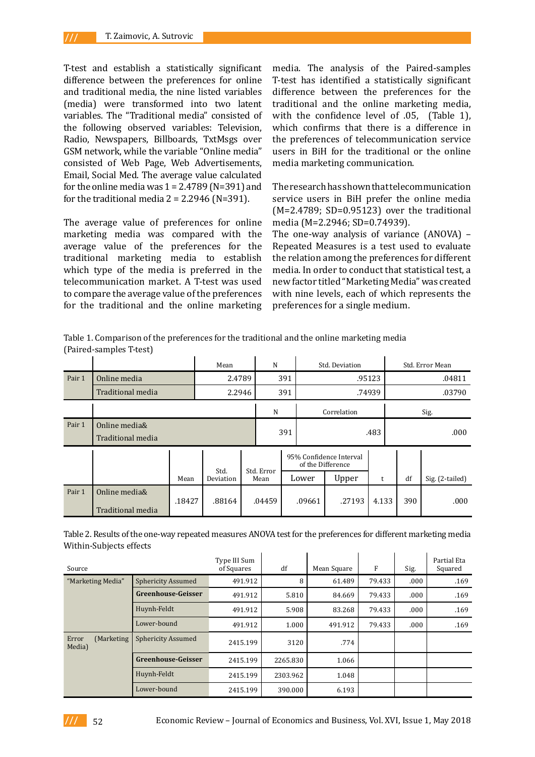T-test and establish a statistically significant difference between the preferences for online and traditional media, the nine listed variables (media) were transformed into two latent variables. The "Traditional media" consisted of the following observed variables: Television, Radio, Newspapers, Billboards, TxtMsgs over GSM network, while the variable "Online media" consisted of Web Page, Web Advertisements, Email, Social Med. The average value calculated for the online media was  $1 = 2.4789$  (N=391) and for the traditional media  $2 = 2.2946$  (N=391).

The average value of preferences for online marketing media was compared with the average value of the preferences for the traditional marketing media to establish which type of the media is preferred in the telecommunication market. A T-test was used to compare the average value of the preferences for the traditional and the online marketing

media. The analysis of the Paired-samples T-test has identified a statistically significant difference between the preferences for the traditional and the online marketing media, with the confidence level of .05, (Table 1), which confirms that there is a difference in the preferences of telecommunication service users in BiH for the traditional or the online media marketing communication.

The research has shown that telecommunication service users in BiH prefer the online media  $(M=2.4789; SD=0.95123)$  over the traditional media (M=2.2946; SD=0.74939).

The one-way analysis of variance (ANOVA) – Repeated Measures is a test used to evaluate the relation among the preferences for different media. In order to conduct that statistical test, a new factor titled "Marketing Media" was created with nine levels, each of which represents the preferences for a single medium.

Table 1. Comparison of the preferences for the traditional and the online marketing media (Paired-samples T-test)

|        |                                    |        | Mean      | N                  |        |     | Std. Deviation                               |        | Std. Error Mean |        |                 |  |
|--------|------------------------------------|--------|-----------|--------------------|--------|-----|----------------------------------------------|--------|-----------------|--------|-----------------|--|
| Pair 1 | Online media                       |        | 2.4789    |                    |        | 391 |                                              | .95123 |                 | .04811 |                 |  |
|        | Traditional media                  |        | 2.2946    |                    | 391    |     | .74939                                       |        |                 | .03790 |                 |  |
|        |                                    |        |           |                    | N      |     | Correlation                                  |        | Sig.            |        |                 |  |
| Pair 1 | Online media&<br>Traditional media |        |           |                    |        | 391 | .483                                         |        |                 | .000   |                 |  |
|        |                                    |        | Std.      |                    |        |     | 95% Confidence Interval<br>of the Difference |        |                 |        |                 |  |
|        |                                    | Mean   | Deviation | Std. Error<br>Mean |        |     | Lower                                        | Upper  | t               | df     | Sig. (2-tailed) |  |
| Pair 1 | Online media&<br>Traditional media | .18427 | .88164    |                    | .04459 |     | .09661                                       | .27193 | 4.133           | 390    | .000            |  |

Table 2. Results of the one-way repeated measures ANOVA test for the preferences for different marketing media Within-Subjects effects

| Source                         |                           | Type III Sum<br>of Squares | df       | Mean Square | F      | Sig. | Partial Eta<br>Squared |
|--------------------------------|---------------------------|----------------------------|----------|-------------|--------|------|------------------------|
| "Marketing Media"              | <b>Sphericity Assumed</b> | 491.912                    | 8        | 61.489      | 79.433 | .000 | .169                   |
|                                | <b>Greenhouse-Geisser</b> | 491.912                    | 5.810    | 84.669      | 79.433 | .000 | .169                   |
|                                | Huynh-Feldt               | 491.912                    | 5.908    | 83.268      | 79.433 | .000 | .169                   |
|                                | Lower-bound               | 491.912                    | 1.000    | 491.912     | 79.433 | .000 | .169                   |
| Error<br>(Marketing)<br>Media) | <b>Sphericity Assumed</b> | 2415.199                   | 3120     | .774        |        |      |                        |
|                                | <b>Greenhouse-Geisser</b> | 2415.199                   | 2265.830 | 1.066       |        |      |                        |
|                                | Huynh-Feldt               | 2415.199                   | 2303.962 | 1.048       |        |      |                        |
|                                | Lower-bound               | 2415.199                   | 390.000  | 6.193       |        |      |                        |

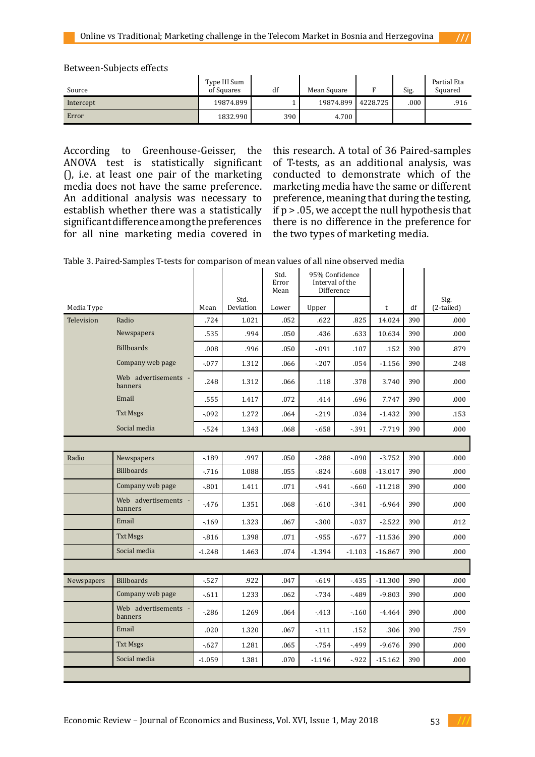Between-Subjects effects

| Source    | Type III Sum<br>of Squares | df  | Mean Square |          | Sig. | Partial Eta<br>Squared |
|-----------|----------------------------|-----|-------------|----------|------|------------------------|
| Intercept | 19874.899                  |     | 19874.899   | 4228.725 | .000 | .916                   |
| Error     | 1832.990                   | 390 | 4.700       |          |      |                        |

According to Greenhouse-Geisser, the ANOVA test is statistically significant (), i.e. at least one pair of the marketing media does not have the same preference. An additional analysis was necessary to establish whether there was a statistically significant difference among the preferences for all nine marketing media covered in this research. A total of 36 Paired-samples of T-tests, as an additional analysis, was conducted to demonstrate which of the marketing media have the same or different preference, meaning that during the testing, if  $p > .05$ , we accept the null hypothesis that there is no difference in the preference for the two types of marketing media.

|            |                                 |          |                   | Std.<br>Error<br>Mean |          | 95% Confidence<br>Interval of the<br>Difference |              |     |                    |
|------------|---------------------------------|----------|-------------------|-----------------------|----------|-------------------------------------------------|--------------|-----|--------------------|
| Media Type |                                 | Mean     | Std.<br>Deviation | Lower                 | Upper    |                                                 | $\mathsf{t}$ | df  | Sig.<br>(2-tailed) |
| Television | Radio                           | .724     | 1.021             | .052                  | .622     | .825                                            | 14.024       | 390 | .000               |
|            | Newspapers                      | .535     | .994              | .050                  | .436     | .633                                            | 10.634       | 390 | .000               |
|            | <b>Billboards</b>               | .008     | .996              | .050                  | $-.091$  | .107                                            | .152         | 390 | .879               |
|            | Company web page                | $-0.077$ | 1.312             | .066                  | $-.207$  | .054                                            | $-1.156$     | 390 | .248               |
|            | Web advertisements -<br>banners | .248     | 1.312             | .066                  | .118     | .378                                            | 3.740        | 390 | .000               |
|            | Email                           | .555     | 1.417             | .072                  | .414     | .696                                            | 7.747        | 390 | .000               |
|            | <b>Txt Msgs</b>                 | $-0.092$ | 1.272             | .064                  | $-219$   | .034                                            | $-1.432$     | 390 | .153               |
|            | Social media                    | $-524$   | 1.343             | .068                  | $-658$   | $-391$                                          | $-7.719$     | 390 | .000               |
|            |                                 |          |                   |                       |          |                                                 |              |     |                    |
| Radio      | Newspapers                      | $-189$   | .997              | .050                  | $-288$   | $-0.090$                                        | $-3.752$     | 390 | .000.              |
|            | <b>Billboards</b>               | $-716$   | 1.088             | .055                  | $-0.824$ | $-608$                                          | $-13.017$    | 390 | .000               |
|            | Company web page                | $-0.801$ | 1.411             | .071                  | $-941$   | $-660$                                          | $-11.218$    | 390 | .000               |
|            | Web advertisements<br>banners   | $-476$   | 1.351             | .068                  | $-610$   | $-341$                                          | $-6.964$     | 390 | .000               |
|            | Email                           | $-169$   | 1.323             | .067                  | $-.300$  | $-0.37$                                         | $-2.522$     | 390 | .012               |
|            | <b>Txt Msgs</b>                 | $-816$   | 1.398             | .071                  | $-955$   | $-677$                                          | $-11.536$    | 390 | .000               |
|            | Social media                    | $-1.248$ | 1.463             | .074                  | $-1.394$ | $-1.103$                                        | $-16.867$    | 390 | .000               |
|            |                                 |          |                   |                       |          |                                                 |              |     |                    |
| Newspapers | <b>Billboards</b>               | $-527$   | .922              | .047                  | $-0.619$ | $-435$                                          | $-11.300$    | 390 | .000               |
|            | Company web page                | $-611$   | 1.233             | .062                  | $-734$   | $-489$                                          | $-9.803$     | 390 | .000               |
|            | Web advertisements -<br>banners | $-286$   | 1.269             | .064                  | $-413$   | $-160$                                          | $-4.464$     | 390 | .000               |
|            | Email                           | .020     | 1.320             | .067                  | $-111$   | .152                                            | .306         | 390 | .759               |
|            | <b>Txt Msgs</b>                 | $-627$   | 1.281             | .065                  | $-754$   | -.499                                           | $-9.676$     | 390 | .000               |
|            | Social media                    | $-1.059$ | 1.381             | .070                  | $-1.196$ | $-922$                                          | $-15.162$    | 390 | .000               |
|            |                                 |          |                   |                       |          |                                                 |              |     |                    |

Table 3. Paired-Samples T-tests for comparison of mean values of all nine observed media

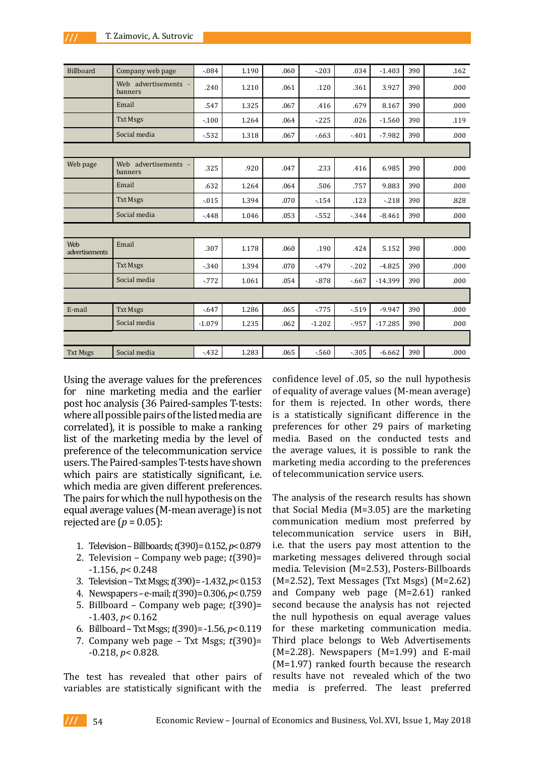| <b>Billboard</b>      | Company web page                | $-0.084$ | 1.190 | .060 | $-.203$  | .034   | $-1.403$  | 390 | .162 |
|-----------------------|---------------------------------|----------|-------|------|----------|--------|-----------|-----|------|
|                       | Web advertisements -<br>banners | .240     | 1.210 | .061 | .120     | .361   | 3.927     | 390 | .000 |
|                       | Email                           | .547     | 1.325 | .067 | .416     | .679   | 8.167     | 390 | .000 |
|                       | <b>Txt Msgs</b>                 | $-0.100$ | 1.264 | .064 | $-225$   | .026   | $-1.560$  | 390 | .119 |
|                       | Social media                    | $-532$   | 1.318 | .067 | $-663$   | $-401$ | $-7.982$  | 390 | .000 |
|                       |                                 |          |       |      |          |        |           |     |      |
| Web page              | Web advertisements -<br>banners | .325     | .920  | .047 | .233     | .416   | 6.985     | 390 | .000 |
|                       | Email                           | .632     | 1.264 | .064 | .506     | .757   | 9.883     | 390 | .000 |
|                       | <b>Txt Msgs</b>                 | $-0.015$ | 1.394 | .070 | $-0.154$ | .123   | $-218$    | 390 | .828 |
|                       | Social media                    | $-448$   | 1.046 | .053 | $-552$   | $-344$ | $-8.461$  | 390 | .000 |
|                       |                                 |          |       |      |          |        |           |     |      |
| Web<br>advertisements | Email                           | .307     | 1.178 | .060 | .190     | .424   | 5.152     | 390 | .000 |
|                       | <b>Txt Msgs</b>                 | $-0.340$ | 1.394 | .070 | $-479$   | $-202$ | $-4.825$  | 390 | .000 |
|                       | Social media                    | $-0.772$ | 1.061 | .054 | $-0.878$ | $-667$ | $-14.399$ | 390 | .000 |
|                       |                                 |          |       |      |          |        |           |     |      |
| E-mail                | <b>Txt Msgs</b>                 | $-0.647$ | 1.286 | .065 | $-775$   | $-519$ | $-9.947$  | 390 | .000 |
|                       | Social media                    | $-1.079$ | 1.235 | .062 | $-1.202$ | $-957$ | $-17.285$ | 390 | .000 |
|                       |                                 |          |       |      |          |        |           |     |      |
| <b>Txt Msgs</b>       | Social media                    | $-432$   | 1.283 | .065 | $-560$   | $-305$ | $-6.662$  | 390 | .000 |

Using the average values for the preferences for nine marketing media and the earlier post hoc analysis (36 Paired-samples T-tests: where all possible pairs of the listed media are correlated), it is possible to make a ranking list of the marketing media by the level of preference of the telecommunication service users. The Paired-samples T-tests have shown which pairs are statistically significant, i.e. which media are given different preferences. The pairs for which the null hypothesis on the equal average values (M-mean average) is not rejected are  $(p = 0.05)$ :

- 1. Television Billboards; *t*(390)= 0.152, *p*< 0.879
- 2. Television Company web page; *t*(390)= -1.156, *p*< 0.248
- 3. Television Txt Msgs; *t*(390)= -1.432, *p*< 0.153
- 4. Newspapers e-mail; *t*(390)= 0.306, *p*< 0.759
- 5. Billboard Company web page; *t*(390)= -1.403, *p*< 0.162
- 6. Billboard Txt Msgs; *t*(390)= -1.56, *p*< 0.119
- 7. Company web page Txt Msgs; *t*(390)= -0.218, *p*< 0.828.

The test has revealed that other pairs of variables are statistically significant with the

confidence level of .05, so the null hypothesis of equality of average values (M-mean average) for them is rejected. In other words, there is a statistically significant difference in the preferences for other 29 pairs of marketing media. Based on the conducted tests and the average values, it is possible to rank the marketing media according to the preferences of telecommunication service users.

The analysis of the research results has shown that Social Media (M=3.05) are the marketing communication medium most preferred by telecommunication service users in BiH, i.e. that the users pay most attention to the marketing messages delivered through social media. Television (M=2.53), Posters-Billboards (M=2.52), Text Messages (Txt Msgs) (M=2.62) and Company web page (M=2.61) ranked second because the analysis has not rejected the null hypothesis on equal average values for these marketing communication media. Third place belongs to Web Advertisements  $(M=2.28)$ . Newspapers  $(M=1.99)$  and E-mail (M=1.97) ranked fourth because the research results have not revealed which of the two media is preferred. The least preferred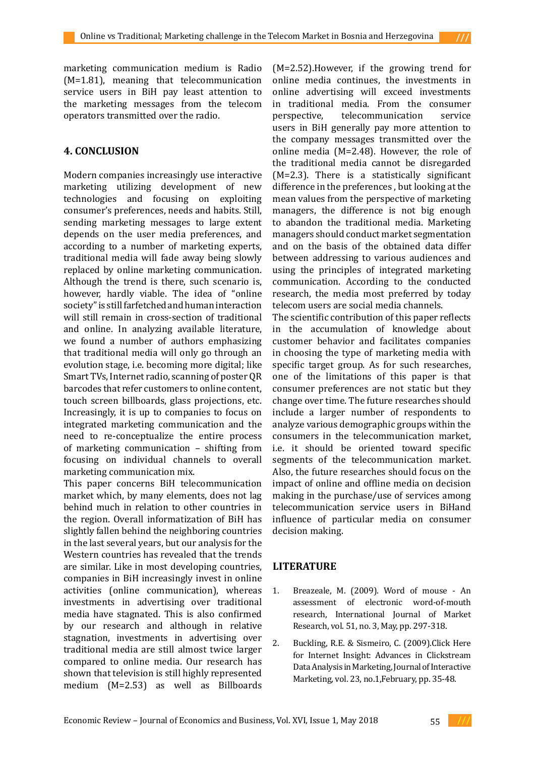marketing communication medium is Radio (M=1.81), meaning that telecommunication service users in BiH pay least attention to the marketing messages from the telecom operators transmitted over the radio.

## **4. CONCLUSION**

Modern companies increasingly use interactive marketing utilizing development of new technologies and focusing on exploiting consumer's preferences, needs and habits. Still, sending marketing messages to large extent depends on the user media preferences, and according to a number of marketing experts, traditional media will fade away being slowly replaced by online marketing communication. Although the trend is there, such scenario is, however, hardly viable. The idea of "online society" is still farfetched and human interaction will still remain in cross-section of traditional and online. In analyzing available literature, we found a number of authors emphasizing that traditional media will only go through an evolution stage, i.e. becoming more digital; like Smart TVs, Internet radio, scanning of poster QR barcodes that refer customers to online content, touch screen billboards, glass projections, etc. Increasingly, it is up to companies to focus on integrated marketing communication and the need to re-conceptualize the entire process of marketing communication – shifting from focusing on individual channels to overall marketing communication mix.

This paper concerns BiH telecommunication market which, by many elements, does not lag behind much in relation to other countries in the region. Overall informatization of BiH has slightly fallen behind the neighboring countries in the last several years, but our analysis for the Western countries has revealed that the trends are similar. Like in most developing countries, companies in BiH increasingly invest in online activities (online communication), whereas investments in advertising over traditional media have stagnated. This is also confirmed by our research and although in relative stagnation, investments in advertising over traditional media are still almost twice larger compared to online media. Our research has shown that television is still highly represented medium (M=2.53) as well as Billboards (M=2.52).However, if the growing trend for online media continues, the investments in online advertising will exceed investments in traditional media. From the consumer telecommunication users in BiH generally pay more attention to the company messages transmitted over the online media (M=2.48). However, the role of the traditional media cannot be disregarded (M=2.3). There is a statistically significant difference in the preferences , but looking at the mean values from the perspective of marketing managers, the difference is not big enough to abandon the traditional media. Marketing managers should conduct market segmentation and on the basis of the obtained data differ between addressing to various audiences and using the principles of integrated marketing communication. According to the conducted research, the media most preferred by today telecom users are social media channels.

The scientific contribution of this paper reflects in the accumulation of knowledge about customer behavior and facilitates companies in choosing the type of marketing media with specific target group. As for such researches, one of the limitations of this paper is that consumer preferences are not static but they change over time. The future researches should include a larger number of respondents to analyze various demographic groups within the consumers in the telecommunication market, i.e. it should be oriented toward specific segments of the telecommunication market. Also, the future researches should focus on the impact of online and offline media on decision making in the purchase/use of services among telecommunication service users in BiHand influence of particular media on consumer decision making.

# **LITERATURE**

- 1. Breazeale, M. (2009). Word of mouse An assessment of electronic word-of-mouth research, International Journal of Market Research, vol. 51, no. 3, May, pp. 297-318.
- 2. Buckling, R.E. & Sismeiro, C. (2009).Click Here for Internet Insight: Advances in Clickstream Data Analysis in Marketing, Journal of Interactive Marketing, vol. 23, no.1,February, pp. 35-48.

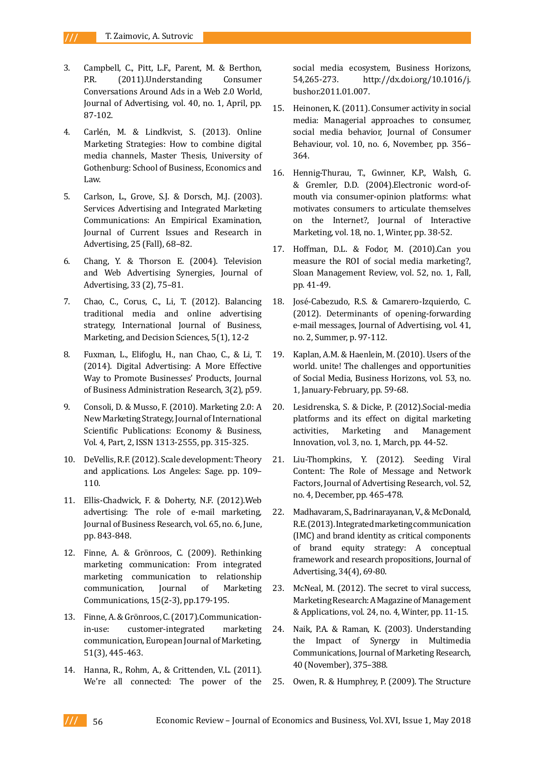- 3. Campbell, C., Pitt, L.F., Parent, M. & Berthon, P.R. (2011).Understanding Consumer Conversations Around Ads in a Web 2.0 World, Journal of Advertising, vol. 40, no. 1, April, pp. 87-102.
- 4. Carlén, M. & Lindkvist, S. (2013). Online Marketing Strategies: How to combine digital media channels, Master Thesis, University of Gothenburg: School of Business, Economics and Law.
- 5. Carlson, L., Grove, S.J. & Dorsch, M.J. (2003). Services Advertising and Integrated Marketing Communications: An Empirical Examination, Journal of Current Issues and Research in Advertising, 25 (Fall), 68–82.
- 6. Chang, Y. & Thorson E. (2004). Television and Web Advertising Synergies, Journal of Advertising, 33 (2), 75–81.
- 7. Chao, C., Corus, C., Li, T. (2012). Balancing traditional media and online advertising strategy, International Journal of Business, Marketing, and Decision Sciences, 5(1), 12-2
- 8. Fuxman, L., Elifoglu, H., nan Chao, C., & Li, T. (2014). Digital Advertising: A More Effective Way to Promote Businesses' Products, Journal of Business Administration Research, 3(2), p59.
- 9. Consoli, D. & Musso, F. (2010). Marketing 2.0: A New Marketing Strategy, Journal of International Scientific Publications: Economy & Business, Vol. 4, Part, 2, ISSN 1313-2555, pp. 315-325.
- 10. DeVellis, R.F. (2012). Scale development: Theory and applications. Los Angeles: Sage. pp. 109– 110.
- 11. Ellis-Chadwick, F. & Doherty, N.F. (2012).Web advertising: The role of e-mail marketing, Journal of Business Research, vol. 65, no. 6, June, pp. 843-848.
- 12. Finne, A. & Grönroos, C. (2009). Rethinking marketing communication: From integrated marketing communication to relationship communication, Journal of Marketing Communications, 15(2-3), pp.179-195.
- 13. Finne, A. & Grönroos, C. (2017).Communicationin-use: customer-integrated marketing communication, European Journal of Marketing, 51(3), 445-463.
- 14. Hanna, R., Rohm, A., & Crittenden, V.L. (2011). We're all connected: The power of the

social media ecosystem, Business Horizons, 54,265-273. http://dx.doi.org/10.1016/j. bushor.2011.01.007.

- 15. Heinonen, K. (2011). Consumer activity in social media: Managerial approaches to consumer, social media behavior, Journal of Consumer Behaviour, vol. 10, no. 6, November, pp. 356– 364.
- 16. Hennig-Thurau, T., Gwinner, K.P., Walsh, G. & Gremler, D.D. (2004).Electronic word-ofmouth via consumer-opinion platforms: what motivates consumers to articulate themselves on the Internet?, Journal of Interactive Marketing, vol. 18, no. 1, Winter, pp. 38-52.
- 17. Hoffman, D.L. & Fodor, M. (2010).Can you measure the ROI of social media marketing?, Sloan Management Review, vol. 52, no. 1, Fall, pp. 41-49.
- 18. José-Cabezudo, R.S. & Camarero-Izquierdo, C. (2012). Determinants of opening-forwarding e-mail messages, Journal of Advertising, vol. 41, no. 2, Summer, p. 97-112.
- 19. Kaplan, A.M. & Haenlein, M. (2010). Users of the world. unite! The challenges and opportunities of Social Media, Business Horizons, vol. 53, no. 1, January-February, pp. 59-68.
- 20. Lesidrenska, S. & Dicke, P. (2012).Social-media platforms and its effect on digital marketing activities, Marketing and Management Innovation, vol. 3, no. 1, March, pp. 44-52.
- 21. Liu-Thompkins, Y. (2012). Seeding Viral Content: The Role of Message and Network Factors, Journal of Advertising Research, vol. 52, no. 4, December, pp. 465-478.
- 22. Madhavaram, S., Badrinarayanan, V., & McDonald, R.E. (2013). Integrated marketing communication (IMC) and brand identity as critical components of brand equity strategy: A conceptual framework and research propositions, Journal of Advertising, 34(4), 69-80.
- 23. McNeal, M. (2012). The secret to viral success, Marketing Research: A Magazine of Management & Applications, vol. 24, no. 4, Winter, pp. 11-15.
- 24. Naik, P.A. & Raman, K. (2003). Understanding the Impact of Synergy in Multimedia Communications, Journal of Marketing Research, 40 (November), 375–388.
- 25. Owen, R. & Humphrey, P. (2009). The Structure